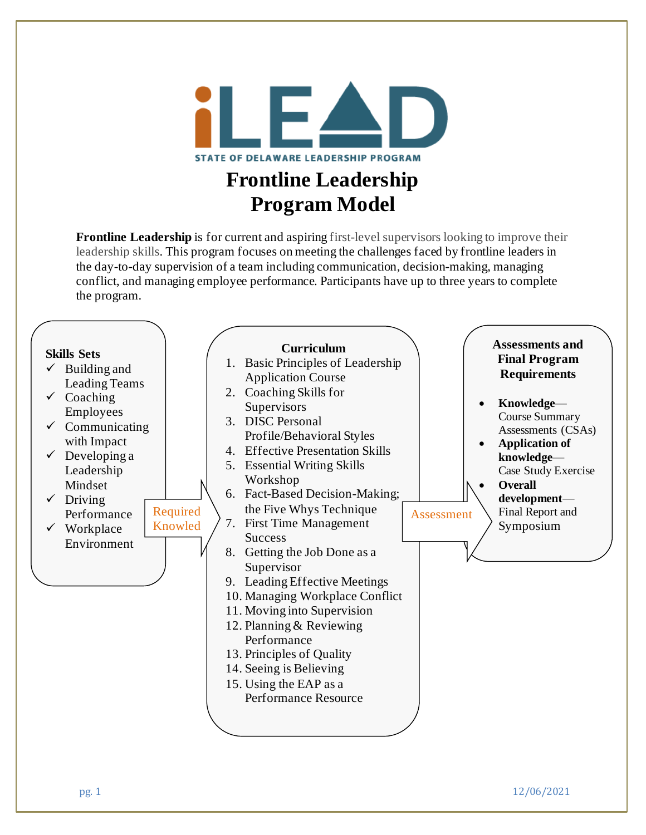

## **Frontline Leadership Program Model**

**Frontline Leadership** is for current and aspiring first-level supervisors looking to improve their leadership skills. This program focuses on meeting the challenges faced by frontline leaders in the day-to-day supervision of a team including communication, decision-making, managing conflict, and managing employee performance. Participants have up to three years to complete the program.

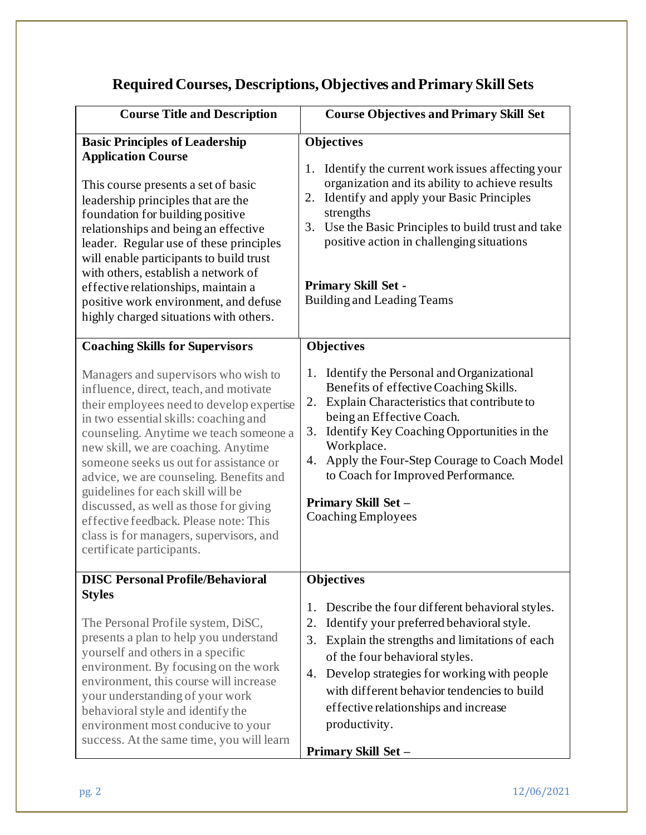## **Required Courses, Descriptions, Objectives and Primary Skill Sets**

| <b>Course Title and Description</b>                                                                                                                                                                                                                                                                                                                                                                                                                                                                                                        | <b>Course Objectives and Primary Skill Set</b>                                                                                                                                                                                                                                                                                                                                      |
|--------------------------------------------------------------------------------------------------------------------------------------------------------------------------------------------------------------------------------------------------------------------------------------------------------------------------------------------------------------------------------------------------------------------------------------------------------------------------------------------------------------------------------------------|-------------------------------------------------------------------------------------------------------------------------------------------------------------------------------------------------------------------------------------------------------------------------------------------------------------------------------------------------------------------------------------|
| <b>Basic Principles of Leadership</b><br><b>Application Course</b><br>This course presents a set of basic<br>leadership principles that are the<br>foundation for building positive<br>relationships and being an effective<br>leader. Regular use of these principles<br>will enable participants to build trust<br>with others, establish a network of<br>effective relationships, maintain a<br>positive work environment, and defuse<br>highly charged situations with others.                                                         | <b>Objectives</b><br>Identify the current work issues affecting your<br>1.<br>organization and its ability to achieve results<br>Identify and apply your Basic Principles<br>2.<br>strengths<br>3.<br>Use the Basic Principles to build trust and take<br>positive action in challenging situations<br><b>Primary Skill Set -</b><br><b>Building and Leading Teams</b>              |
| <b>Coaching Skills for Supervisors</b>                                                                                                                                                                                                                                                                                                                                                                                                                                                                                                     | <b>Objectives</b>                                                                                                                                                                                                                                                                                                                                                                   |
| Managers and supervisors who wish to<br>influence, direct, teach, and motivate<br>their employees need to develop expertise<br>in two essential skills: coaching and<br>counseling. Anytime we teach someone a<br>new skill, we are coaching. Anytime<br>someone seeks us out for assistance or<br>advice, we are counseling. Benefits and<br>guidelines for each skill will be<br>discussed, as well as those for giving<br>effective feedback. Please note: This<br>class is for managers, supervisors, and<br>certificate participants. | 1. Identify the Personal and Organizational<br>Benefits of effective Coaching Skills.<br>Explain Characteristics that contribute to<br>2.<br>being an Effective Coach.<br>Identify Key Coaching Opportunities in the<br>3.<br>Workplace.<br>Apply the Four-Step Courage to Coach Model<br>4.<br>to Coach for Improved Performance.<br>Primary Skill Set -<br>Coaching Employees     |
| <b>DISC Personal Profile/Behavioral</b>                                                                                                                                                                                                                                                                                                                                                                                                                                                                                                    | <b>Objectives</b>                                                                                                                                                                                                                                                                                                                                                                   |
| <b>Styles</b><br>The Personal Profile system, DiSC,<br>presents a plan to help you understand<br>yourself and others in a specific<br>environment. By focusing on the work<br>environment, this course will increase<br>your understanding of your work<br>behavioral style and identify the<br>environment most conducive to your<br>success. At the same time, you will learn                                                                                                                                                            | Describe the four different behavioral styles.<br>1.<br>Identify your preferred behavioral style.<br>2.<br>Explain the strengths and limitations of each<br>3.<br>of the four behavioral styles.<br>Develop strategies for working with people<br>4.<br>with different behavior tendencies to build<br>effective relationships and increase<br>productivity.<br>Primary Skill Set - |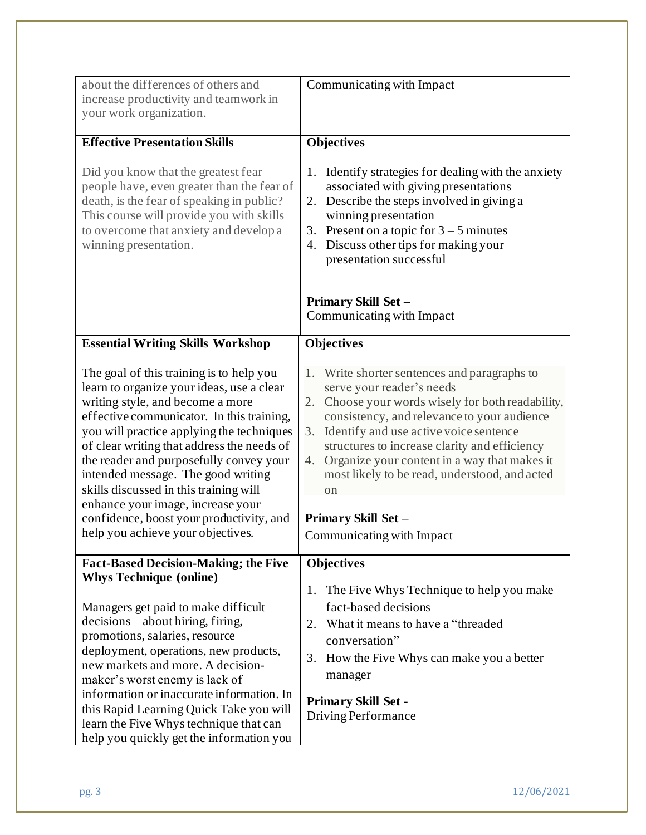| about the differences of others and<br>increase productivity and teamwork in            | Communicating with Impact                                                                           |
|-----------------------------------------------------------------------------------------|-----------------------------------------------------------------------------------------------------|
| your work organization.                                                                 |                                                                                                     |
|                                                                                         |                                                                                                     |
| <b>Effective Presentation Skills</b>                                                    | <b>Objectives</b>                                                                                   |
| Did you know that the greatest fear                                                     | 1. Identify strategies for dealing with the anxiety                                                 |
| people have, even greater than the fear of<br>death, is the fear of speaking in public? | associated with giving presentations<br>Describe the steps involved in giving a<br>2.               |
| This course will provide you with skills                                                | winning presentation                                                                                |
| to overcome that anxiety and develop a                                                  | Present on a topic for $3 - 5$ minutes<br>3.                                                        |
| winning presentation.                                                                   | Discuss other tips for making your<br>4.                                                            |
|                                                                                         | presentation successful                                                                             |
|                                                                                         |                                                                                                     |
|                                                                                         | Primary Skill Set -                                                                                 |
|                                                                                         | Communicating with Impact                                                                           |
|                                                                                         |                                                                                                     |
| <b>Essential Writing Skills Workshop</b>                                                | <b>Objectives</b>                                                                                   |
| The goal of this training is to help you                                                | 1. Write shorter sentences and paragraphs to                                                        |
| learn to organize your ideas, use a clear                                               | serve your reader's needs                                                                           |
| writing style, and become a more                                                        | Choose your words wisely for both readability,<br>2.                                                |
| effective communicator. In this training,                                               | consistency, and relevance to your audience                                                         |
| you will practice applying the techniques                                               | Identify and use active voice sentence<br>3.                                                        |
| of clear writing that address the needs of<br>the reader and purposefully convey your   | structures to increase clarity and efficiency<br>Organize your content in a way that makes it<br>4. |
| intended message. The good writing                                                      | most likely to be read, understood, and acted                                                       |
| skills discussed in this training will                                                  | $\alpha$                                                                                            |
| enhance your image, increase your                                                       |                                                                                                     |
| confidence, boost your productivity, and                                                | Primary Skill Set -                                                                                 |
| help you achieve your objectives.                                                       | Communicating with Impact                                                                           |
| <b>Fact-Based Decision-Making; the Five</b>                                             | <b>Objectives</b>                                                                                   |
| <b>Whys Technique (online)</b>                                                          |                                                                                                     |
|                                                                                         | The Five Whys Technique to help you make<br>1.                                                      |
| Managers get paid to make difficult                                                     | fact-based decisions                                                                                |
| $decisions - about hiring, firing,$                                                     | What it means to have a "threaded<br>2.                                                             |
| promotions, salaries, resource                                                          | conversation"                                                                                       |
| deployment, operations, new products,                                                   | How the Five Whys can make you a better<br>3.                                                       |
| new markets and more. A decision-                                                       | manager                                                                                             |
| maker's worst enemy is lack of<br>information or inaccurate information. In             |                                                                                                     |
| this Rapid Learning Quick Take you will                                                 | <b>Primary Skill Set -</b>                                                                          |
| learn the Five Whys technique that can                                                  | Driving Performance                                                                                 |
| help you quickly get the information you                                                |                                                                                                     |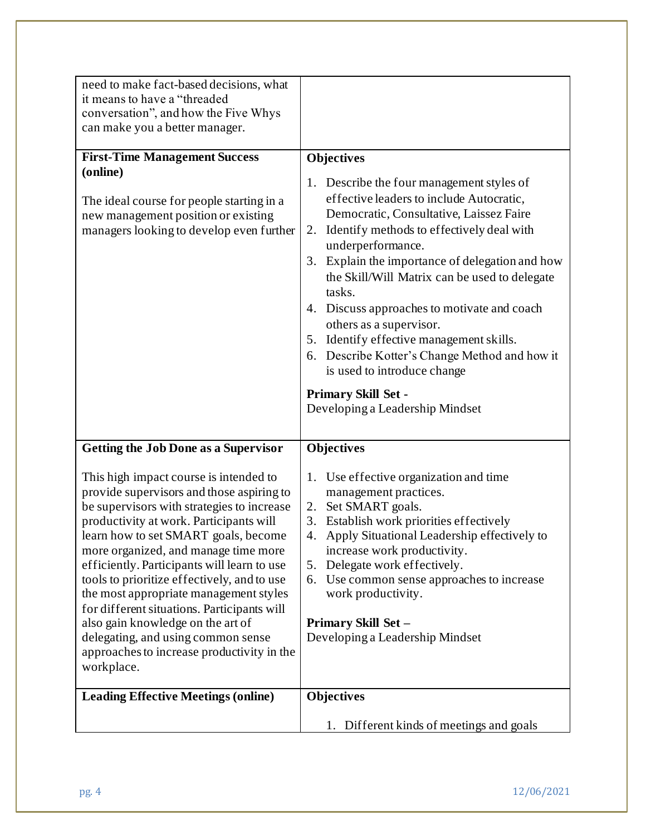| need to make fact-based decisions, what<br>it means to have a "threaded                                                                                                                                                                                                                                                                                                                                                                                                                                                                                                                    |                                                                                                                                                                                                                                                                                                                                                                                                                                                                                                                          |
|--------------------------------------------------------------------------------------------------------------------------------------------------------------------------------------------------------------------------------------------------------------------------------------------------------------------------------------------------------------------------------------------------------------------------------------------------------------------------------------------------------------------------------------------------------------------------------------------|--------------------------------------------------------------------------------------------------------------------------------------------------------------------------------------------------------------------------------------------------------------------------------------------------------------------------------------------------------------------------------------------------------------------------------------------------------------------------------------------------------------------------|
| conversation", and how the Five Whys<br>can make you a better manager.                                                                                                                                                                                                                                                                                                                                                                                                                                                                                                                     |                                                                                                                                                                                                                                                                                                                                                                                                                                                                                                                          |
| <b>First-Time Management Success</b><br>(online)<br>The ideal course for people starting in a<br>new management position or existing<br>managers looking to develop even further                                                                                                                                                                                                                                                                                                                                                                                                           | <b>Objectives</b><br>1. Describe the four management styles of<br>effective leaders to include Autocratic,<br>Democratic, Consultative, Laissez Faire<br>Identify methods to effectively deal with<br>2.<br>underperformance.<br>3. Explain the importance of delegation and how<br>the Skill/Will Matrix can be used to delegate<br>tasks.<br>4. Discuss approaches to motivate and coach<br>others as a supervisor.<br>Identify effective management skills.<br>5.<br>Describe Kotter's Change Method and how it<br>6. |
|                                                                                                                                                                                                                                                                                                                                                                                                                                                                                                                                                                                            | is used to introduce change<br><b>Primary Skill Set -</b><br>Developing a Leadership Mindset                                                                                                                                                                                                                                                                                                                                                                                                                             |
| <b>Getting the Job Done as a Supervisor</b>                                                                                                                                                                                                                                                                                                                                                                                                                                                                                                                                                | <b>Objectives</b>                                                                                                                                                                                                                                                                                                                                                                                                                                                                                                        |
| This high impact course is intended to<br>provide supervisors and those aspiring to<br>be supervisors with strategies to increase<br>productivity at work. Participants will<br>learn how to set SMART goals, become<br>more organized, and manage time more<br>efficiently. Participants will learn to use<br>tools to prioritize effectively, and to use<br>the most appropriate management styles<br>for different situations. Participants will<br>also gain knowledge on the art of<br>delegating, and using common sense<br>approaches to increase productivity in the<br>workplace. | 1. Use effective organization and time<br>management practices.<br>Set SMART goals.<br>2.<br>Establish work priorities effectively<br>3.<br>Apply Situational Leadership effectively to<br>4.<br>increase work productivity.<br>Delegate work effectively.<br>5.<br>6. Use common sense approaches to increase<br>work productivity.<br>Primary Skill Set -<br>Developing a Leadership Mindset                                                                                                                           |
| <b>Leading Effective Meetings (online)</b>                                                                                                                                                                                                                                                                                                                                                                                                                                                                                                                                                 | <b>Objectives</b>                                                                                                                                                                                                                                                                                                                                                                                                                                                                                                        |
|                                                                                                                                                                                                                                                                                                                                                                                                                                                                                                                                                                                            | Different kinds of meetings and goals<br>1.                                                                                                                                                                                                                                                                                                                                                                                                                                                                              |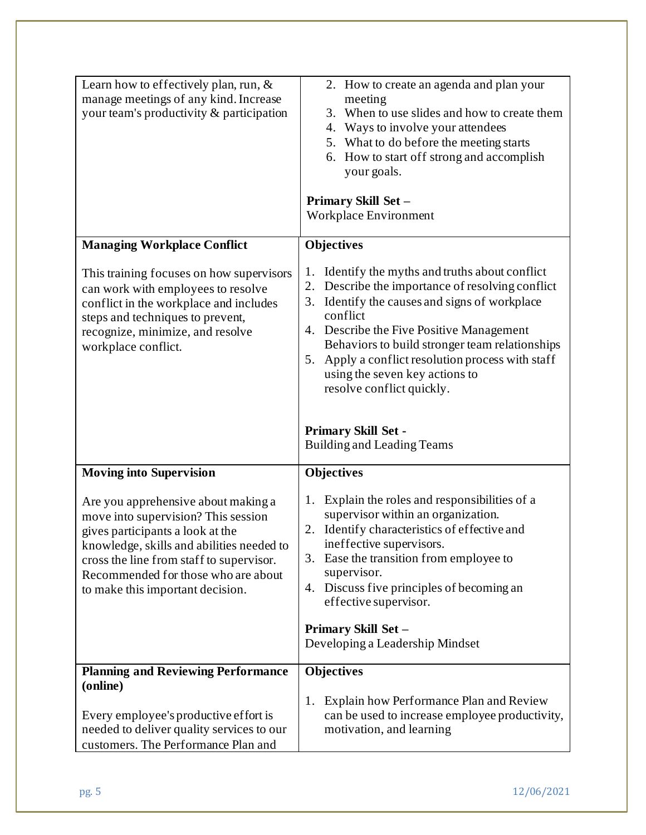| Learn how to effectively plan, run, $\&$<br>manage meetings of any kind. Increase<br>your team's productivity & participation                                                                                                                                                      | 2. How to create an agenda and plan your<br>meeting<br>When to use slides and how to create them<br>3.<br>4. Ways to involve your attendees<br>5. What to do before the meeting starts<br>6. How to start off strong and accomplish<br>your goals.<br>Primary Skill Set -<br>Workplace Environment                                                                                                                                                          |
|------------------------------------------------------------------------------------------------------------------------------------------------------------------------------------------------------------------------------------------------------------------------------------|-------------------------------------------------------------------------------------------------------------------------------------------------------------------------------------------------------------------------------------------------------------------------------------------------------------------------------------------------------------------------------------------------------------------------------------------------------------|
| <b>Managing Workplace Conflict</b>                                                                                                                                                                                                                                                 | <b>Objectives</b>                                                                                                                                                                                                                                                                                                                                                                                                                                           |
| This training focuses on how supervisors<br>can work with employees to resolve<br>conflict in the workplace and includes<br>steps and techniques to prevent,<br>recognize, minimize, and resolve<br>workplace conflict.                                                            | Identify the myths and truths about conflict<br>1.<br>2. Describe the importance of resolving conflict<br>3. Identify the causes and signs of workplace<br>conflict<br>4. Describe the Five Positive Management<br>Behaviors to build stronger team relationships<br>Apply a conflict resolution process with staff<br>5.<br>using the seven key actions to<br>resolve conflict quickly.<br><b>Primary Skill Set -</b><br><b>Building and Leading Teams</b> |
| <b>Moving into Supervision</b>                                                                                                                                                                                                                                                     | <b>Objectives</b>                                                                                                                                                                                                                                                                                                                                                                                                                                           |
| Are you apprehensive about making a<br>move into supervision? This session<br>gives participants a look at the<br>knowledge, skills and abilities needed to<br>cross the line from staff to supervisor.<br>Recommended for those who are about<br>to make this important decision. | 1. Explain the roles and responsibilities of a<br>supervisor within an organization.<br>2. Identify characteristics of effective and<br>ineffective supervisors.<br>3. Ease the transition from employee to<br>supervisor.<br>4. Discuss five principles of becoming an<br>effective supervisor.<br>Primary Skill Set -<br>Developing a Leadership Mindset                                                                                                  |
| <b>Planning and Reviewing Performance</b>                                                                                                                                                                                                                                          | <b>Objectives</b>                                                                                                                                                                                                                                                                                                                                                                                                                                           |
| (online)<br>Every employee's productive effort is<br>needed to deliver quality services to our<br>customers. The Performance Plan and                                                                                                                                              | 1. Explain how Performance Plan and Review<br>can be used to increase employee productivity,<br>motivation, and learning                                                                                                                                                                                                                                                                                                                                    |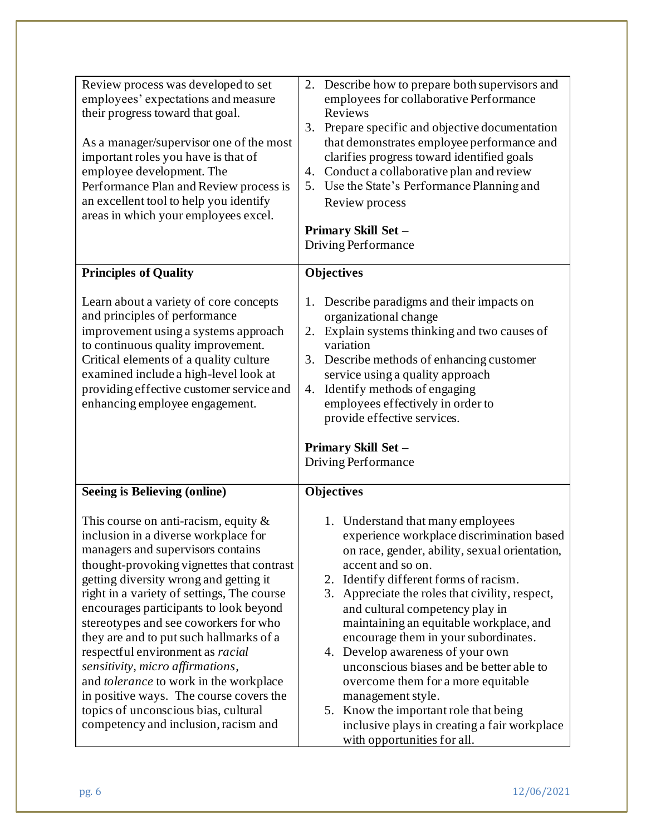| Review process was developed to set<br>employees' expectations and measure<br>their progress toward that goal.<br>As a manager/supervisor one of the most<br>important roles you have is that of<br>employee development. The<br>Performance Plan and Review process is<br>an excellent tool to help you identify<br>areas in which your employees excel.                                                                                                                                                                                                                                                                            | Describe how to prepare both supervisors and<br>2.<br>employees for collaborative Performance<br>Reviews<br>3. Prepare specific and objective documentation<br>that demonstrates employee performance and<br>clarifies progress toward identified goals<br>4. Conduct a collaborative plan and review<br>5. Use the State's Performance Planning and<br>Review process<br>Primary Skill Set -<br>Driving Performance                                                                                                                                                                                                                       |
|--------------------------------------------------------------------------------------------------------------------------------------------------------------------------------------------------------------------------------------------------------------------------------------------------------------------------------------------------------------------------------------------------------------------------------------------------------------------------------------------------------------------------------------------------------------------------------------------------------------------------------------|--------------------------------------------------------------------------------------------------------------------------------------------------------------------------------------------------------------------------------------------------------------------------------------------------------------------------------------------------------------------------------------------------------------------------------------------------------------------------------------------------------------------------------------------------------------------------------------------------------------------------------------------|
| <b>Principles of Quality</b>                                                                                                                                                                                                                                                                                                                                                                                                                                                                                                                                                                                                         | <b>Objectives</b>                                                                                                                                                                                                                                                                                                                                                                                                                                                                                                                                                                                                                          |
| Learn about a variety of core concepts<br>and principles of performance<br>improvement using a systems approach<br>to continuous quality improvement.<br>Critical elements of a quality culture<br>examined include a high-level look at<br>providing effective customer service and<br>enhancing employee engagement.                                                                                                                                                                                                                                                                                                               | Describe paradigms and their impacts on<br>1.<br>organizational change<br>Explain systems thinking and two causes of<br>2.<br>variation<br>3. Describe methods of enhancing customer<br>service using a quality approach<br>Identify methods of engaging<br>4.<br>employees effectively in order to<br>provide effective services.<br>Primary Skill Set -<br>Driving Performance                                                                                                                                                                                                                                                           |
| Seeing is Believing (online)                                                                                                                                                                                                                                                                                                                                                                                                                                                                                                                                                                                                         | <b>Objectives</b>                                                                                                                                                                                                                                                                                                                                                                                                                                                                                                                                                                                                                          |
| This course on anti-racism, equity $\&$<br>inclusion in a diverse workplace for<br>managers and supervisors contains<br>thought-provoking vignettes that contrast<br>getting diversity wrong and getting it<br>right in a variety of settings, The course<br>encourages participants to look beyond<br>stereotypes and see coworkers for who<br>they are and to put such hallmarks of a<br>respectful environment as racial<br>sensitivity, micro affirmations,<br>and tolerance to work in the workplace<br>in positive ways. The course covers the<br>topics of unconscious bias, cultural<br>competency and inclusion, racism and | 1. Understand that many employees<br>experience workplace discrimination based<br>on race, gender, ability, sexual orientation,<br>accent and so on.<br>2. Identify different forms of racism.<br>3. Appreciate the roles that civility, respect,<br>and cultural competency play in<br>maintaining an equitable workplace, and<br>encourage them in your subordinates.<br>4. Develop awareness of your own<br>unconscious biases and be better able to<br>overcome them for a more equitable<br>management style.<br>5. Know the important role that being<br>inclusive plays in creating a fair workplace<br>with opportunities for all. |